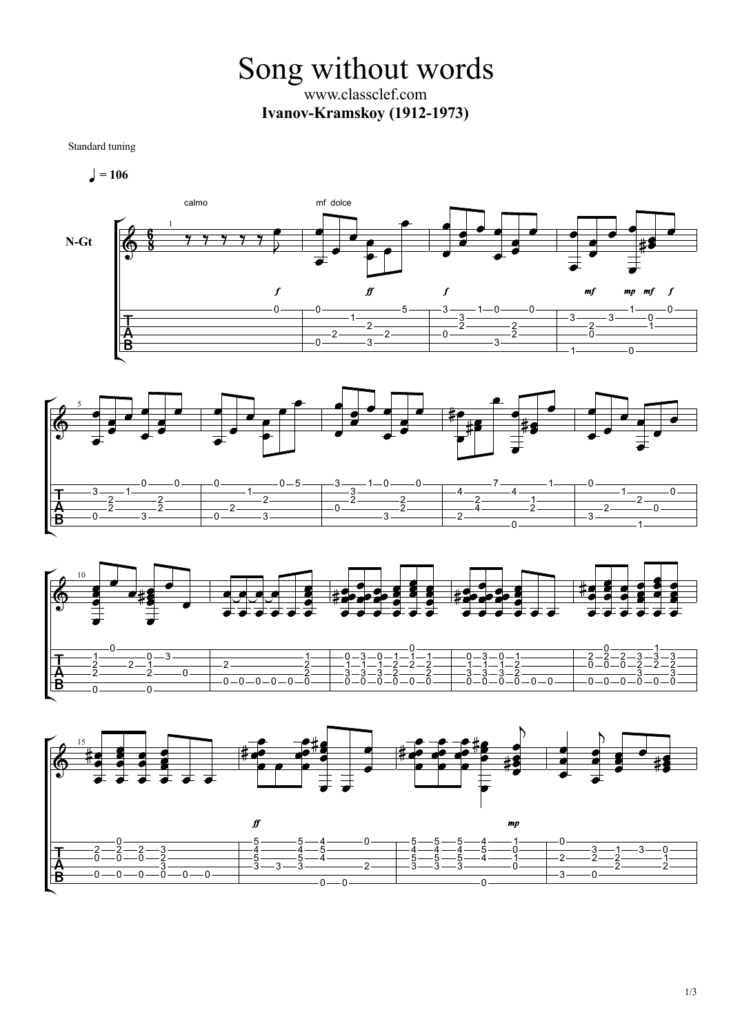Song without words www.classclef.com **Ivanov-Kramskoy (1912-1973)**

Standard tuning

$$
\blacksquare = 106
$$







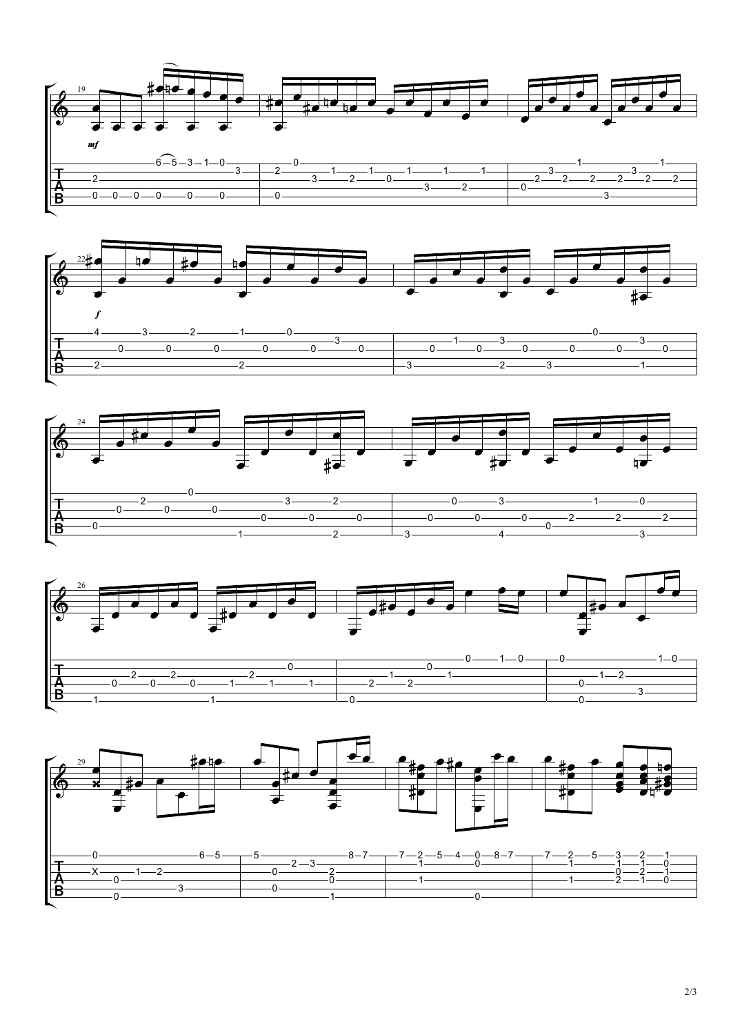